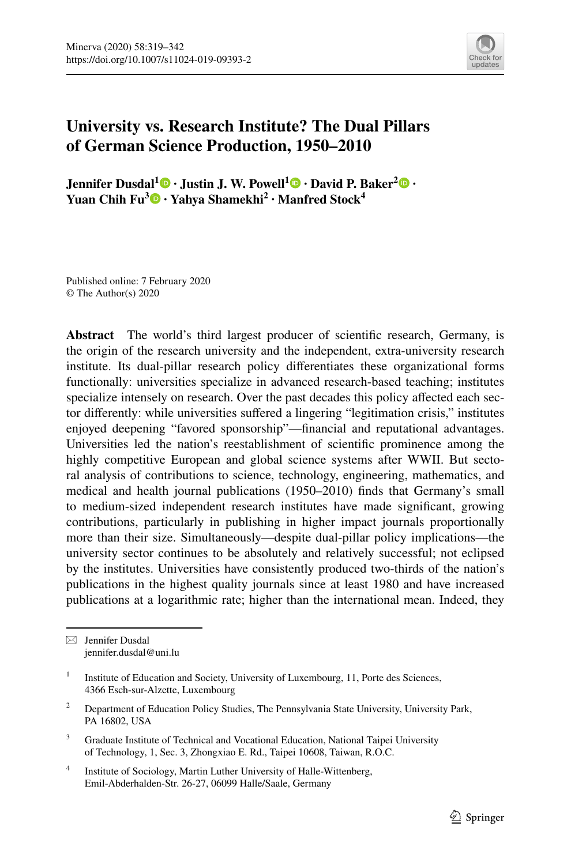

# **University vs. Research Institute? The Dual Pillars of German Science Production, 1950–2010**

**Jennifer Dusdal1 · Justin J. W. Powell1 · David P. Baker[2](http://orcid.org/0000-0001-9967-8249) · Yuan Chih Fu3 · Yahya Shamekhi2 · Manfred Stock<sup>4</sup>**

Published online: 7 February 2020 © The Author(s) 2020

**Abstract** The world's third largest producer of scientifc research, Germany, is the origin of the research university and the independent, extra-university research institute. Its dual-pillar research policy diferentiates these organizational forms functionally: universities specialize in advanced research-based teaching; institutes specialize intensely on research. Over the past decades this policy afected each sector diferently: while universities sufered a lingering "legitimation crisis," institutes enjoyed deepening "favored sponsorship"—fnancial and reputational advantages. Universities led the nation's reestablishment of scientifc prominence among the highly competitive European and global science systems after WWII. But sectoral analysis of contributions to science, technology, engineering, mathematics, and medical and health journal publications (1950–2010) fnds that Germany's small to medium-sized independent research institutes have made signifcant, growing contributions, particularly in publishing in higher impact journals proportionally more than their size. Simultaneously—despite dual-pillar policy implications—the university sector continues to be absolutely and relatively successful; not eclipsed by the institutes. Universities have consistently produced two-thirds of the nation's publications in the highest quality journals since at least 1980 and have increased publications at a logarithmic rate; higher than the international mean. Indeed, they

 $\boxtimes$  Jennifer Dusdal jennifer.dusdal@uni.lu

- <sup>3</sup> Graduate Institute of Technical and Vocational Education, National Taipei University of Technology, 1, Sec. 3, Zhongxiao E. Rd., Taipei 10608, Taiwan, R.O.C.
- <sup>4</sup> Institute of Sociology, Martin Luther University of Halle-Wittenberg, Emil-Abderhalden-Str. 26-27, 06099 Halle/Saale, Germany

<sup>&</sup>lt;sup>1</sup> Institute of Education and Society, University of Luxembourg, 11, Porte des Sciences, 4366 Esch-sur-Alzette, Luxembourg

<sup>2</sup> Department of Education Policy Studies, The Pennsylvania State University, University Park, PA 16802, USA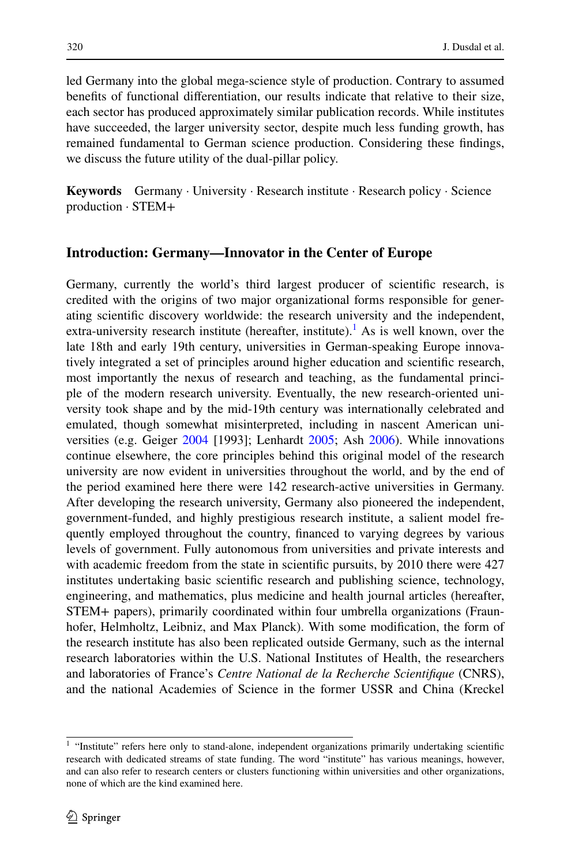led Germany into the global mega-science style of production. Contrary to assumed benefts of functional diferentiation, our results indicate that relative to their size, each sector has produced approximately similar publication records. While institutes have succeeded, the larger university sector, despite much less funding growth, has remained fundamental to German science production. Considering these fndings, we discuss the future utility of the dual-pillar policy.

**Keywords** Germany · University · Research institute · Research policy · Science production · STEM+

## **Introduction: Germany—Innovator in the Center of Europe**

Germany, currently the world's third largest producer of scientifc research, is credited with the origins of two major organizational forms responsible for generating scientifc discovery worldwide: the research university and the independent, extra-university research institute (hereafter, institute).<sup>[1](#page-1-0)</sup> As is well known, over the late 18th and early 19th century, universities in German-speaking Europe innovatively integrated a set of principles around higher education and scientifc research, most importantly the nexus of research and teaching, as the fundamental principle of the modern research university. Eventually, the new research-oriented university took shape and by the mid-19th century was internationally celebrated and emulated, though somewhat misinterpreted, including in nascent American universities (e.g. Geiger [2004](#page-21-0) [1993]; Lenhardt [2005;](#page-22-0) Ash [2006](#page-20-0)). While innovations continue elsewhere, the core principles behind this original model of the research university are now evident in universities throughout the world, and by the end of the period examined here there were 142 research-active universities in Germany. After developing the research university, Germany also pioneered the independent, government-funded, and highly prestigious research institute, a salient model frequently employed throughout the country, fnanced to varying degrees by various levels of government. Fully autonomous from universities and private interests and with academic freedom from the state in scientific pursuits, by 2010 there were 427 institutes undertaking basic scientifc research and publishing science, technology, engineering, and mathematics, plus medicine and health journal articles (hereafter, STEM+ papers), primarily coordinated within four umbrella organizations (Fraunhofer, Helmholtz, Leibniz, and Max Planck). With some modifcation, the form of the research institute has also been replicated outside Germany, such as the internal research laboratories within the U.S. National Institutes of Health, the researchers and laboratories of France's *Centre National de la Recherche Scientifque* (CNRS), and the national Academies of Science in the former USSR and China (Kreckel

<span id="page-1-0"></span><sup>&</sup>lt;sup>1</sup> "Institute" refers here only to stand-alone, independent organizations primarily undertaking scientific research with dedicated streams of state funding. The word "institute" has various meanings, however, and can also refer to research centers or clusters functioning within universities and other organizations, none of which are the kind examined here.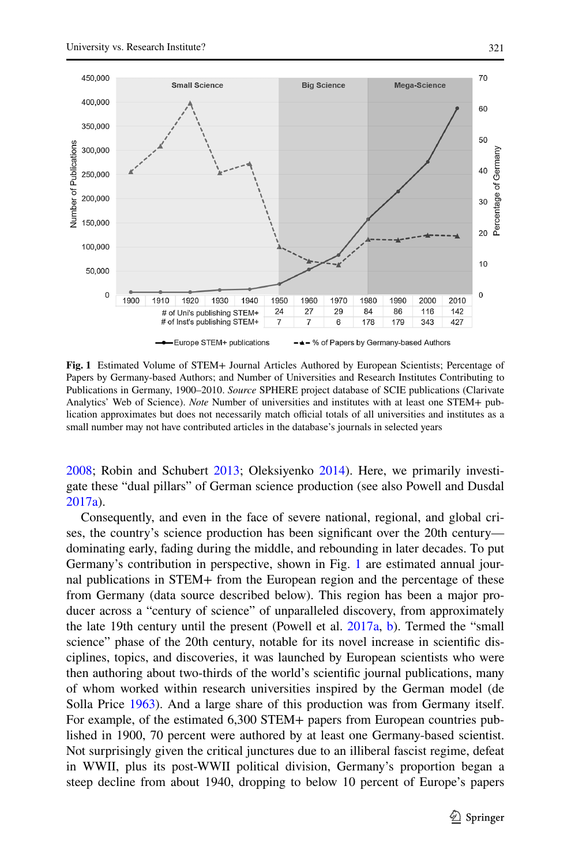

<span id="page-2-0"></span>**Fig. 1** Estimated Volume of STEM+ Journal Articles Authored by European Scientists; Percentage of Papers by Germany-based Authors; and Number of Universities and Research Institutes Contributing to Publications in Germany, 1900–2010. *Source* SPHERE project database of SCIE publications (Clarivate Analytics' Web of Science). *Note* Number of universities and institutes with at least one STEM+ publication approximates but does not necessarily match official totals of all universities and institutes as a small number may not have contributed articles in the database's journals in selected years

[2008](#page-22-1); Robin and Schubert [2013;](#page-22-2) Oleksiyenko [2014\)](#page-22-3). Here, we primarily investigate these "dual pillars" of German science production (see also Powell and Dusdal [2017a](#page-22-4)).

Consequently, and even in the face of severe national, regional, and global crises, the country's science production has been signifcant over the 20th century dominating early, fading during the middle, and rebounding in later decades. To put Germany's contribution in perspective, shown in Fig. [1](#page-2-0) are estimated annual journal publications in STEM+ from the European region and the percentage of these from Germany (data source described below). This region has been a major producer across a "century of science" of unparalleled discovery, from approximately the late 19th century until the present (Powell et al. [2017a,](#page-22-5) [b\)](#page-22-6). Termed the "small science" phase of the 20th century, notable for its novel increase in scientifc disciplines, topics, and discoveries, it was launched by European scientists who were then authoring about two-thirds of the world's scientifc journal publications, many of whom worked within research universities inspired by the German model (de Solla Price [1963\)](#page-21-1). And a large share of this production was from Germany itself. For example, of the estimated 6,300 STEM+ papers from European countries published in 1900, 70 percent were authored by at least one Germany-based scientist. Not surprisingly given the critical junctures due to an illiberal fascist regime, defeat in WWII, plus its post-WWII political division, Germany's proportion began a steep decline from about 1940, dropping to below 10 percent of Europe's papers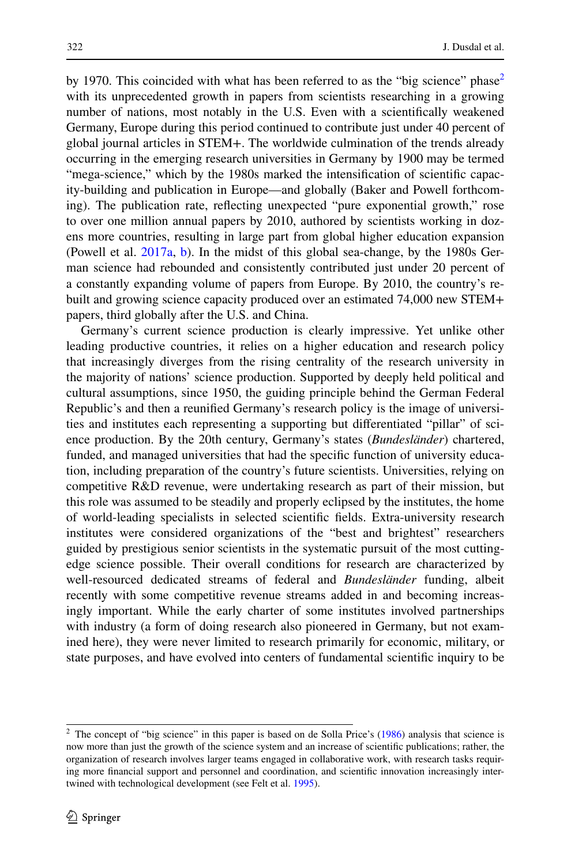by 1970. This coincided with what has been referred to as the "big science" phase<sup>[2](#page-3-0)</sup> with its unprecedented growth in papers from scientists researching in a growing number of nations, most notably in the U.S. Even with a scientifcally weakened Germany, Europe during this period continued to contribute just under 40 percent of global journal articles in STEM+. The worldwide culmination of the trends already occurring in the emerging research universities in Germany by 1900 may be termed "mega-science," which by the 1980s marked the intensifcation of scientifc capacity-building and publication in Europe—and globally (Baker and Powell forthcoming). The publication rate, refecting unexpected "pure exponential growth," rose to over one million annual papers by 2010, authored by scientists working in dozens more countries, resulting in large part from global higher education expansion (Powell et al. [2017a](#page-22-5), [b\)](#page-22-6). In the midst of this global sea-change, by the 1980s German science had rebounded and consistently contributed just under 20 percent of a constantly expanding volume of papers from Europe. By 2010, the country's rebuilt and growing science capacity produced over an estimated 74,000 new STEM+ papers, third globally after the U.S. and China.

Germany's current science production is clearly impressive. Yet unlike other leading productive countries, it relies on a higher education and research policy that increasingly diverges from the rising centrality of the research university in the majority of nations' science production. Supported by deeply held political and cultural assumptions, since 1950, the guiding principle behind the German Federal Republic's and then a reunifed Germany's research policy is the image of universities and institutes each representing a supporting but diferentiated "pillar" of science production. By the 20th century, Germany's states (*Bundesländer*) chartered, funded, and managed universities that had the specifc function of university education, including preparation of the country's future scientists. Universities, relying on competitive R&D revenue, were undertaking research as part of their mission, but this role was assumed to be steadily and properly eclipsed by the institutes, the home of world-leading specialists in selected scientifc felds. Extra-university research institutes were considered organizations of the "best and brightest" researchers guided by prestigious senior scientists in the systematic pursuit of the most cuttingedge science possible. Their overall conditions for research are characterized by well-resourced dedicated streams of federal and *Bundesländer* funding, albeit recently with some competitive revenue streams added in and becoming increasingly important. While the early charter of some institutes involved partnerships with industry (a form of doing research also pioneered in Germany, but not examined here), they were never limited to research primarily for economic, military, or state purposes, and have evolved into centers of fundamental scientifc inquiry to be

<span id="page-3-0"></span><sup>&</sup>lt;sup>2</sup> The concept of "big science" in this paper is based on de Solla Price's [\(1986](#page-21-2)) analysis that science is now more than just the growth of the science system and an increase of scientifc publications; rather, the organization of research involves larger teams engaged in collaborative work, with research tasks requiring more fnancial support and personnel and coordination, and scientifc innovation increasingly intertwined with technological development (see Felt et al. [1995\)](#page-21-3).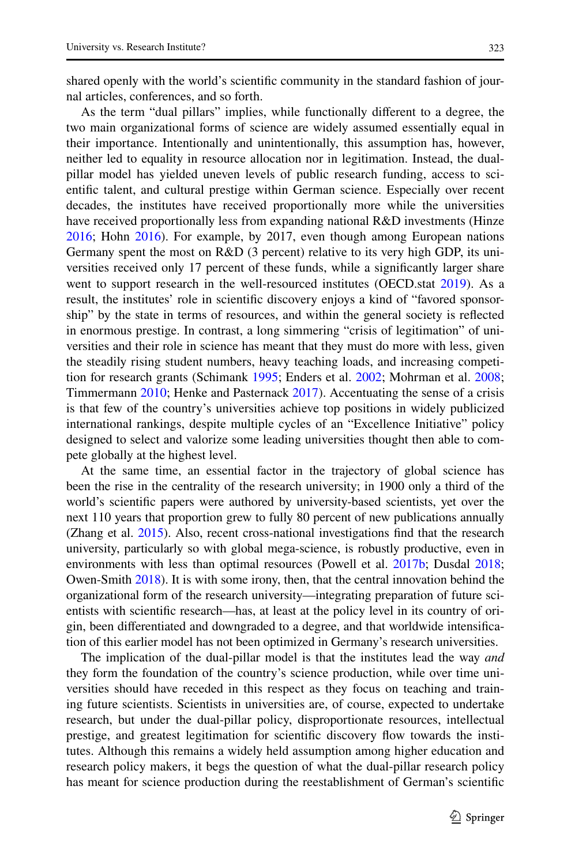shared openly with the world's scientifc community in the standard fashion of journal articles, conferences, and so forth.

As the term "dual pillars" implies, while functionally diferent to a degree, the two main organizational forms of science are widely assumed essentially equal in their importance. Intentionally and unintentionally, this assumption has, however, neither led to equality in resource allocation nor in legitimation. Instead, the dualpillar model has yielded uneven levels of public research funding, access to scientifc talent, and cultural prestige within German science. Especially over recent decades, the institutes have received proportionally more while the universities have received proportionally less from expanding national R&D investments (Hinze [2016](#page-21-4); Hohn [2016\)](#page-21-5). For example, by 2017, even though among European nations Germany spent the most on R&D (3 percent) relative to its very high GDP, its universities received only 17 percent of these funds, while a signifcantly larger share went to support research in the well-resourced institutes (OECD.stat [2019](#page-22-7)). As a result, the institutes' role in scientifc discovery enjoys a kind of "favored sponsorship" by the state in terms of resources, and within the general society is refected in enormous prestige. In contrast, a long simmering "crisis of legitimation" of universities and their role in science has meant that they must do more with less, given the steadily rising student numbers, heavy teaching loads, and increasing competition for research grants (Schimank [1995](#page-23-0); Enders et al. [2002;](#page-21-6) Mohrman et al. [2008;](#page-22-8) Timmermann [2010](#page-23-1); Henke and Pasternack [2017](#page-21-7)). Accentuating the sense of a crisis is that few of the country's universities achieve top positions in widely publicized international rankings, despite multiple cycles of an "Excellence Initiative" policy designed to select and valorize some leading universities thought then able to compete globally at the highest level.

At the same time, an essential factor in the trajectory of global science has been the rise in the centrality of the research university; in 1900 only a third of the world's scientifc papers were authored by university-based scientists, yet over the next 110 years that proportion grew to fully 80 percent of new publications annually (Zhang et al. [2015](#page-23-2)). Also, recent cross-national investigations fnd that the research university, particularly so with global mega-science, is robustly productive, even in environments with less than optimal resources (Powell et al. [2017b](#page-22-6); Dusdal [2018;](#page-21-8) Owen-Smith [2018\)](#page-22-9). It is with some irony, then, that the central innovation behind the organizational form of the research university—integrating preparation of future scientists with scientifc research—has, at least at the policy level in its country of origin, been diferentiated and downgraded to a degree, and that worldwide intensifcation of this earlier model has not been optimized in Germany's research universities.

The implication of the dual-pillar model is that the institutes lead the way *and* they form the foundation of the country's science production, while over time universities should have receded in this respect as they focus on teaching and training future scientists. Scientists in universities are, of course, expected to undertake research, but under the dual-pillar policy, disproportionate resources, intellectual prestige, and greatest legitimation for scientifc discovery fow towards the institutes. Although this remains a widely held assumption among higher education and research policy makers, it begs the question of what the dual-pillar research policy has meant for science production during the reestablishment of German's scientifc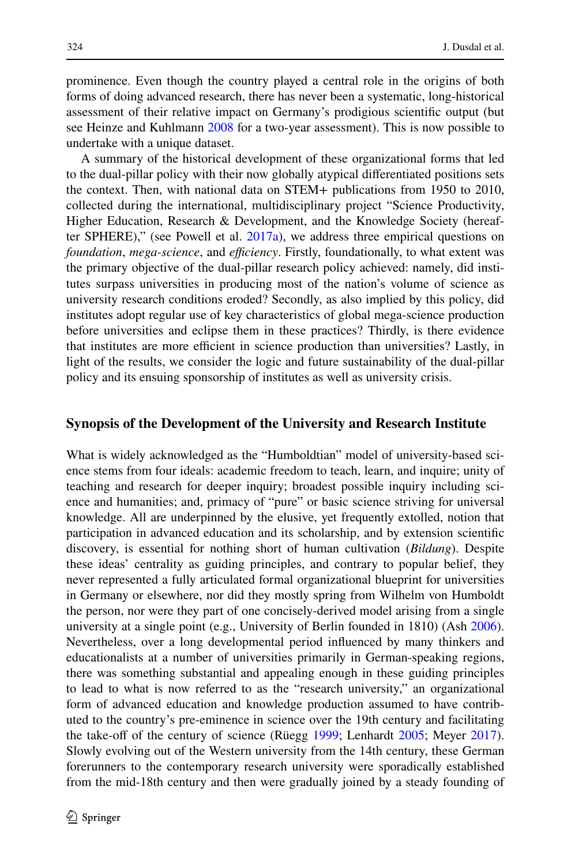prominence. Even though the country played a central role in the origins of both forms of doing advanced research, there has never been a systematic, long-historical assessment of their relative impact on Germany's prodigious scientifc output (but see Heinze and Kuhlmann [2008](#page-21-9) for a two-year assessment). This is now possible to undertake with a unique dataset.

A summary of the historical development of these organizational forms that led to the dual-pillar policy with their now globally atypical diferentiated positions sets the context. Then, with national data on STEM+ publications from 1950 to 2010, collected during the international, multidisciplinary project "Science Productivity, Higher Education, Research & Development, and the Knowledge Society (hereafter SPHERE)," (see Powell et al. [2017a](#page-22-5)), we address three empirical questions on *foundation, mega-science, and efficiency. Firstly, foundationally, to what extent was* the primary objective of the dual-pillar research policy achieved: namely, did institutes surpass universities in producing most of the nation's volume of science as university research conditions eroded? Secondly, as also implied by this policy, did institutes adopt regular use of key characteristics of global mega-science production before universities and eclipse them in these practices? Thirdly, is there evidence that institutes are more efficient in science production than universities? Lastly, in light of the results, we consider the logic and future sustainability of the dual-pillar policy and its ensuing sponsorship of institutes as well as university crisis.

#### **Synopsis of the Development of the University and Research Institute**

What is widely acknowledged as the "Humboldtian" model of university-based science stems from four ideals: academic freedom to teach, learn, and inquire; unity of teaching and research for deeper inquiry; broadest possible inquiry including science and humanities; and, primacy of "pure" or basic science striving for universal knowledge. All are underpinned by the elusive, yet frequently extolled, notion that participation in advanced education and its scholarship, and by extension scientifc discovery, is essential for nothing short of human cultivation (*Bildung*). Despite these ideas' centrality as guiding principles, and contrary to popular belief, they never represented a fully articulated formal organizational blueprint for universities in Germany or elsewhere, nor did they mostly spring from Wilhelm von Humboldt the person, nor were they part of one concisely-derived model arising from a single university at a single point (e.g., University of Berlin founded in 1810) (Ash [2006\)](#page-20-0). Nevertheless, over a long developmental period infuenced by many thinkers and educationalists at a number of universities primarily in German-speaking regions, there was something substantial and appealing enough in these guiding principles to lead to what is now referred to as the "research university," an organizational form of advanced education and knowledge production assumed to have contributed to the country's pre-eminence in science over the 19th century and facilitating the take-off of the century of science (Rüegg [1999;](#page-23-3) Lenhardt [2005;](#page-22-0) Meyer [2017\)](#page-22-10). Slowly evolving out of the Western university from the 14th century, these German forerunners to the contemporary research university were sporadically established from the mid-18th century and then were gradually joined by a steady founding of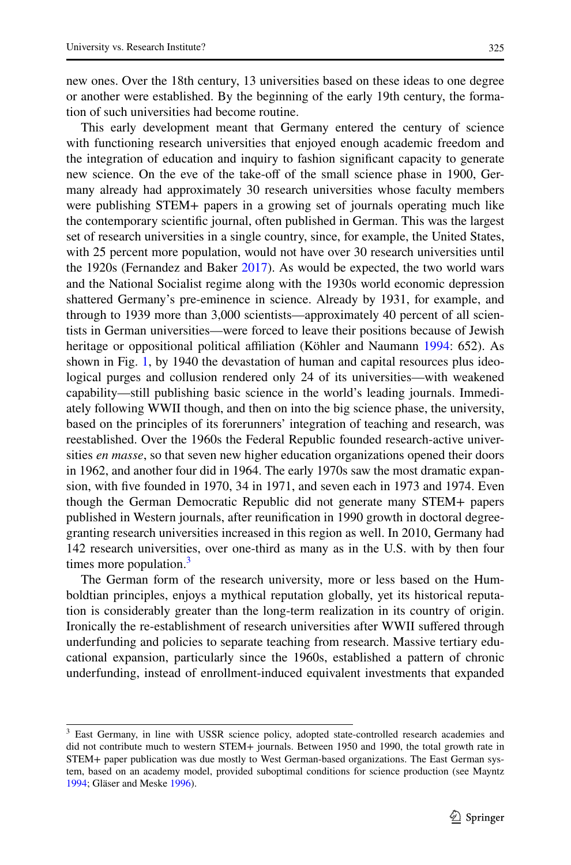new ones. Over the 18th century, 13 universities based on these ideas to one degree or another were established. By the beginning of the early 19th century, the formation of such universities had become routine.

This early development meant that Germany entered the century of science with functioning research universities that enjoyed enough academic freedom and the integration of education and inquiry to fashion signifcant capacity to generate new science. On the eve of the take-of of the small science phase in 1900, Germany already had approximately 30 research universities whose faculty members were publishing STEM+ papers in a growing set of journals operating much like the contemporary scientifc journal, often published in German. This was the largest set of research universities in a single country, since, for example, the United States, with 25 percent more population, would not have over 30 research universities until the 1920s (Fernandez and Baker [2017](#page-21-10)). As would be expected, the two world wars and the National Socialist regime along with the 1930s world economic depression shattered Germany's pre-eminence in science. Already by 1931, for example, and through to 1939 more than 3,000 scientists—approximately 40 percent of all scientists in German universities—were forced to leave their positions because of Jewish heritage or oppositional political afliation (Köhler and Naumann [1994](#page-22-11): 652). As shown in Fig. [1](#page-2-0), by 1940 the devastation of human and capital resources plus ideological purges and collusion rendered only 24 of its universities—with weakened capability—still publishing basic science in the world's leading journals. Immediately following WWII though, and then on into the big science phase, the university, based on the principles of its forerunners' integration of teaching and research, was reestablished. Over the 1960s the Federal Republic founded research-active universities *en masse*, so that seven new higher education organizations opened their doors in 1962, and another four did in 1964. The early 1970s saw the most dramatic expansion, with fve founded in 1970, 34 in 1971, and seven each in 1973 and 1974. Even though the German Democratic Republic did not generate many STEM+ papers published in Western journals, after reunifcation in 1990 growth in doctoral degreegranting research universities increased in this region as well. In 2010, Germany had 142 research universities, over one-third as many as in the U.S. with by then four times more population. $3$ 

The German form of the research university, more or less based on the Humboldtian principles, enjoys a mythical reputation globally, yet its historical reputation is considerably greater than the long-term realization in its country of origin. Ironically the re-establishment of research universities after WWII sufered through underfunding and policies to separate teaching from research. Massive tertiary educational expansion, particularly since the 1960s, established a pattern of chronic underfunding, instead of enrollment-induced equivalent investments that expanded

<span id="page-6-0"></span><sup>&</sup>lt;sup>3</sup> East Germany, in line with USSR science policy, adopted state-controlled research academies and did not contribute much to western STEM+ journals. Between 1950 and 1990, the total growth rate in STEM+ paper publication was due mostly to West German-based organizations. The East German system, based on an academy model, provided suboptimal conditions for science production (see Mayntz [1994](#page-22-12); Gläser and Meske [1996\)](#page-21-11).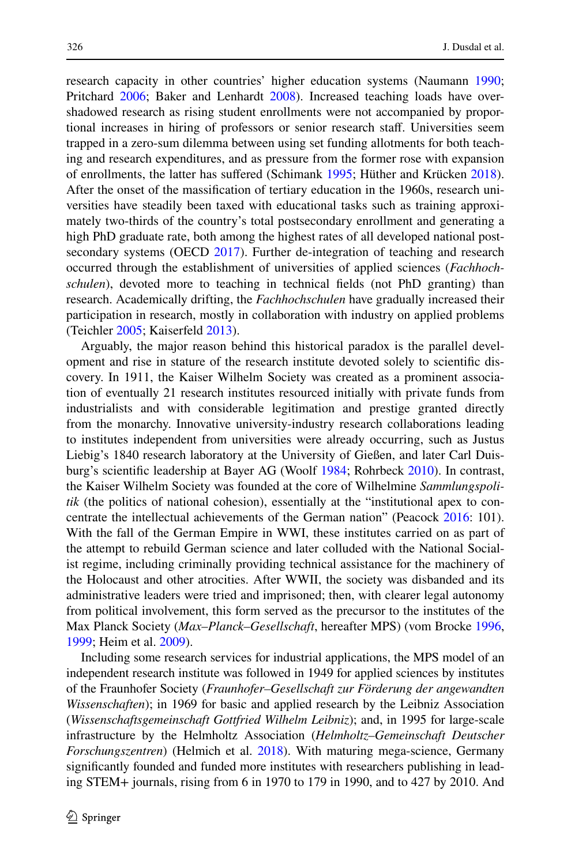research capacity in other countries' higher education systems (Naumann [1990;](#page-22-13) Pritchard [2006](#page-22-14); Baker and Lenhardt [2008\)](#page-20-1). Increased teaching loads have overshadowed research as rising student enrollments were not accompanied by proportional increases in hiring of professors or senior research staf. Universities seem trapped in a zero-sum dilemma between using set funding allotments for both teaching and research expenditures, and as pressure from the former rose with expansion of enrollments, the latter has sufered (Schimank [1995](#page-23-0); Hüther and Krücken [2018\)](#page-22-15). After the onset of the massifcation of tertiary education in the 1960s, research universities have steadily been taxed with educational tasks such as training approximately two-thirds of the country's total postsecondary enrollment and generating a high PhD graduate rate, both among the highest rates of all developed national postsecondary systems (OECD [2017\)](#page-22-16). Further de-integration of teaching and research occurred through the establishment of universities of applied sciences (*Fachhochschulen*), devoted more to teaching in technical felds (not PhD granting) than research. Academically drifting, the *Fachhochschulen* have gradually increased their participation in research, mostly in collaboration with industry on applied problems (Teichler [2005;](#page-23-4) Kaiserfeld [2013\)](#page-22-17).

Arguably, the major reason behind this historical paradox is the parallel development and rise in stature of the research institute devoted solely to scientifc discovery. In 1911, the Kaiser Wilhelm Society was created as a prominent association of eventually 21 research institutes resourced initially with private funds from industrialists and with considerable legitimation and prestige granted directly from the monarchy. Innovative university-industry research collaborations leading to institutes independent from universities were already occurring, such as Justus Liebig's 1840 research laboratory at the University of Gießen, and later Carl Duisburg's scientifc leadership at Bayer AG (Woolf [1984;](#page-23-5) Rohrbeck [2010](#page-23-6)). In contrast, the Kaiser Wilhelm Society was founded at the core of Wilhelmine *Sammlungspolitik* (the politics of national cohesion), essentially at the "institutional apex to concentrate the intellectual achievements of the German nation" (Peacock [2016](#page-22-18): 101). With the fall of the German Empire in WWI, these institutes carried on as part of the attempt to rebuild German science and later colluded with the National Socialist regime, including criminally providing technical assistance for the machinery of the Holocaust and other atrocities. After WWII, the society was disbanded and its administrative leaders were tried and imprisoned; then, with clearer legal autonomy from political involvement, this form served as the precursor to the institutes of the Max Planck Society (*Max*–*Planck*–*Gesellschaft*, hereafter MPS) (vom Brocke [1996,](#page-23-7) [1999](#page-23-8); Heim et al. [2009\)](#page-21-12).

Including some research services for industrial applications, the MPS model of an independent research institute was followed in 1949 for applied sciences by institutes of the Fraunhofer Society (*Fraunhofer–Gesellschaft zur Förderung der angewandten Wissenschaften*); in 1969 for basic and applied research by the Leibniz Association (*Wissenschaftsgemeinschaft Gottfried Wilhelm Leibniz*); and, in 1995 for large-scale infrastructure by the Helmholtz Association (*Helmholtz–Gemeinschaft Deutscher Forschungszentren*) (Helmich et al. [2018](#page-21-13)). With maturing mega-science, Germany signifcantly founded and funded more institutes with researchers publishing in leading STEM+ journals, rising from 6 in 1970 to 179 in 1990, and to 427 by 2010. And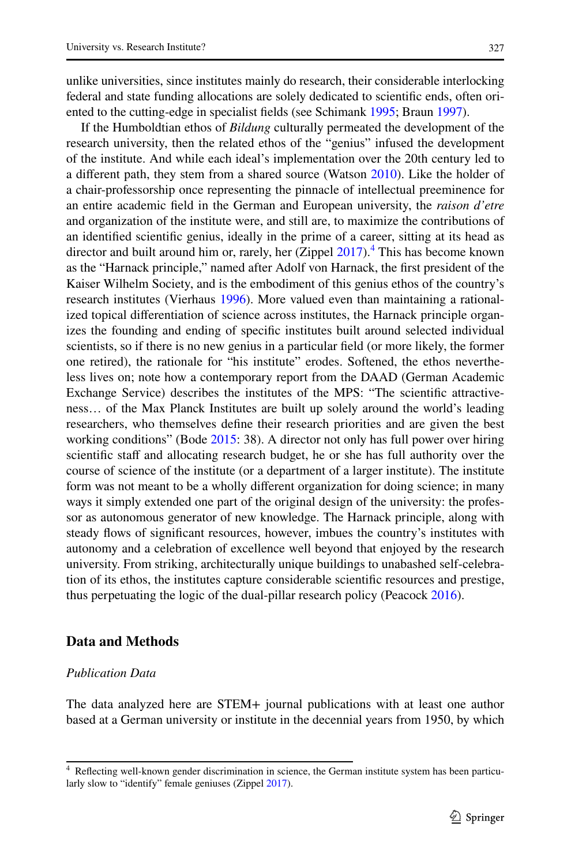unlike universities, since institutes mainly do research, their considerable interlocking federal and state funding allocations are solely dedicated to scientifc ends, often oriented to the cutting-edge in specialist felds (see Schimank [1995](#page-23-0); Braun [1997](#page-21-14)).

If the Humboldtian ethos of *Bildung* culturally permeated the development of the research university, then the related ethos of the "genius" infused the development of the institute. And while each ideal's implementation over the 20th century led to a diferent path, they stem from a shared source (Watson [2010\)](#page-23-9). Like the holder of a chair-professorship once representing the pinnacle of intellectual preeminence for an entire academic feld in the German and European university, the *raison d'etre* and organization of the institute were, and still are, to maximize the contributions of an identifed scientifc genius, ideally in the prime of a career, sitting at its head as director and built around him or, rarely, her (Zippel [2017](#page-23-10)).<sup>[4](#page-8-0)</sup> This has become known as the "Harnack principle," named after Adolf von Harnack, the frst president of the Kaiser Wilhelm Society, and is the embodiment of this genius ethos of the country's research institutes (Vierhaus [1996](#page-23-11)). More valued even than maintaining a rationalized topical diferentiation of science across institutes, the Harnack principle organizes the founding and ending of specifc institutes built around selected individual scientists, so if there is no new genius in a particular feld (or more likely, the former one retired), the rationale for "his institute" erodes. Softened, the ethos nevertheless lives on; note how a contemporary report from the DAAD (German Academic Exchange Service) describes the institutes of the MPS: "The scientifc attractiveness… of the Max Planck Institutes are built up solely around the world's leading researchers, who themselves defne their research priorities and are given the best working conditions" (Bode [2015](#page-21-15): 38). A director not only has full power over hiring scientifc staf and allocating research budget, he or she has full authority over the course of science of the institute (or a department of a larger institute). The institute form was not meant to be a wholly diferent organization for doing science; in many ways it simply extended one part of the original design of the university: the professor as autonomous generator of new knowledge. The Harnack principle, along with steady fows of signifcant resources, however, imbues the country's institutes with autonomy and a celebration of excellence well beyond that enjoyed by the research university. From striking, architecturally unique buildings to unabashed self-celebration of its ethos, the institutes capture considerable scientifc resources and prestige, thus perpetuating the logic of the dual-pillar research policy (Peacock [2016\)](#page-22-18).

## **Data and Methods**

### *Publication Data*

The data analyzed here are STEM+ journal publications with at least one author based at a German university or institute in the decennial years from 1950, by which

<span id="page-8-0"></span><sup>4</sup> Refecting well-known gender discrimination in science, the German institute system has been particularly slow to "identify" female geniuses (Zippel [2017](#page-23-10)).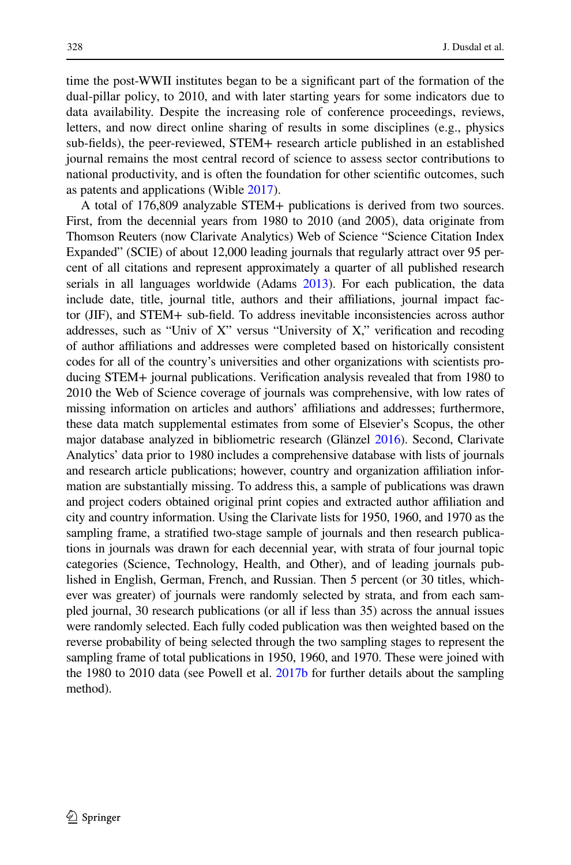time the post-WWII institutes began to be a signifcant part of the formation of the dual-pillar policy, to 2010, and with later starting years for some indicators due to data availability. Despite the increasing role of conference proceedings, reviews, letters, and now direct online sharing of results in some disciplines (e.g., physics sub-felds), the peer-reviewed, STEM+ research article published in an established journal remains the most central record of science to assess sector contributions to national productivity, and is often the foundation for other scientifc outcomes, such as patents and applications (Wible [2017\)](#page-23-12).

A total of 176,809 analyzable STEM+ publications is derived from two sources. First, from the decennial years from 1980 to 2010 (and 2005), data originate from Thomson Reuters (now Clarivate Analytics) Web of Science "Science Citation Index Expanded" (SCIE) of about 12,000 leading journals that regularly attract over 95 percent of all citations and represent approximately a quarter of all published research serials in all languages worldwide (Adams [2013\)](#page-20-2). For each publication, the data include date, title, journal title, authors and their afliations, journal impact factor (JIF), and STEM+ sub-feld. To address inevitable inconsistencies across author addresses, such as "Univ of X" versus "University of X," verifcation and recoding of author afliations and addresses were completed based on historically consistent codes for all of the country's universities and other organizations with scientists producing STEM+ journal publications. Verifcation analysis revealed that from 1980 to 2010 the Web of Science coverage of journals was comprehensive, with low rates of missing information on articles and authors' afliations and addresses; furthermore, these data match supplemental estimates from some of Elsevier's Scopus, the other major database analyzed in bibliometric research (Glänzel [2016](#page-21-16)). Second, Clarivate Analytics' data prior to 1980 includes a comprehensive database with lists of journals and research article publications; however, country and organization afliation information are substantially missing. To address this, a sample of publications was drawn and project coders obtained original print copies and extracted author afliation and city and country information. Using the Clarivate lists for 1950, 1960, and 1970 as the sampling frame, a stratifed two-stage sample of journals and then research publications in journals was drawn for each decennial year, with strata of four journal topic categories (Science, Technology, Health, and Other), and of leading journals published in English, German, French, and Russian. Then 5 percent (or 30 titles, whichever was greater) of journals were randomly selected by strata, and from each sampled journal, 30 research publications (or all if less than 35) across the annual issues were randomly selected. Each fully coded publication was then weighted based on the reverse probability of being selected through the two sampling stages to represent the sampling frame of total publications in 1950, 1960, and 1970. These were joined with the 1980 to 2010 data (see Powell et al. [2017b](#page-22-6) for further details about the sampling method).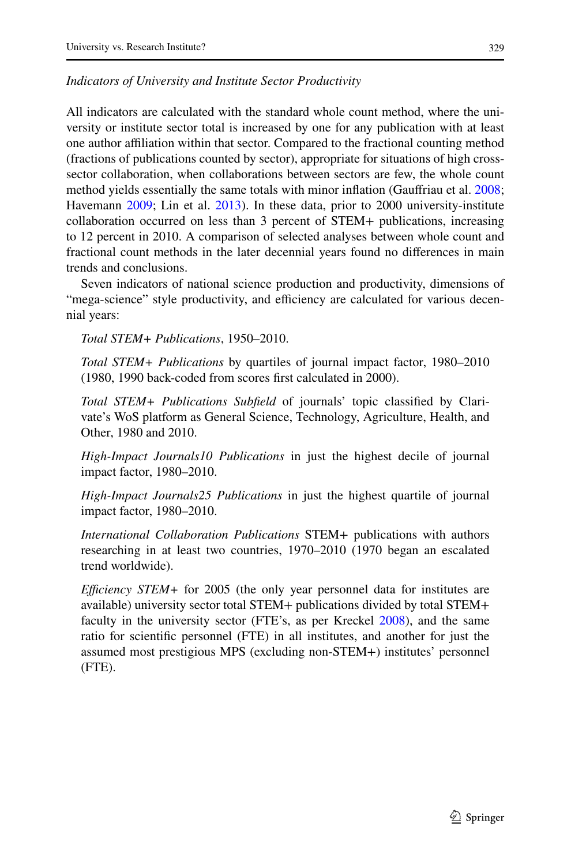#### *Indicators of University and Institute Sector Productivity*

All indicators are calculated with the standard whole count method, where the university or institute sector total is increased by one for any publication with at least one author afliation within that sector. Compared to the fractional counting method (fractions of publications counted by sector), appropriate for situations of high crosssector collaboration, when collaborations between sectors are few, the whole count method yields essentially the same totals with minor infation (Gaufriau et al. [2008;](#page-21-17) Havemann [2009](#page-21-18); Lin et al. [2013\)](#page-22-19). In these data, prior to 2000 university-institute collaboration occurred on less than 3 percent of STEM+ publications, increasing to 12 percent in 2010. A comparison of selected analyses between whole count and fractional count methods in the later decennial years found no diferences in main trends and conclusions.

Seven indicators of national science production and productivity, dimensions of "mega-science" style productivity, and efficiency are calculated for various decennial years:

*Total STEM+ Publications*, 1950–2010.

*Total STEM+ Publications* by quartiles of journal impact factor, 1980–2010 (1980, 1990 back-coded from scores frst calculated in 2000).

*Total STEM+ Publications Subfeld* of journals' topic classifed by Clarivate's WoS platform as General Science, Technology, Agriculture, Health, and Other, 1980 and 2010.

*High-Impact Journals10 Publications* in just the highest decile of journal impact factor, 1980–2010.

*High-Impact Journals25 Publications* in just the highest quartile of journal impact factor, 1980–2010.

*International Collaboration Publications* STEM+ publications with authors researching in at least two countries, 1970–2010 (1970 began an escalated trend worldwide).

*Efficiency STEM* + for 2005 (the only year personnel data for institutes are available) university sector total STEM+ publications divided by total STEM+ faculty in the university sector (FTE's, as per Kreckel [2008](#page-22-1)), and the same ratio for scientifc personnel (FTE) in all institutes, and another for just the assumed most prestigious MPS (excluding non-STEM+) institutes' personnel (FTE).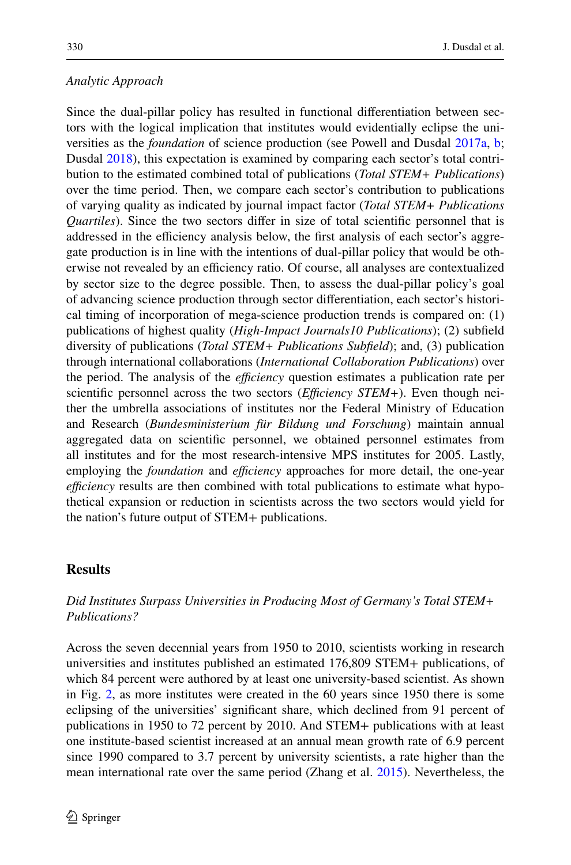## *Analytic Approach*

Since the dual-pillar policy has resulted in functional diferentiation between sectors with the logical implication that institutes would evidentially eclipse the universities as the *foundation* of science production (see Powell and Dusdal [2017a,](#page-22-4) [b;](#page-22-20) Dusdal [2018](#page-21-8)), this expectation is examined by comparing each sector's total contribution to the estimated combined total of publications (*Total STEM+ Publications*) over the time period. Then, we compare each sector's contribution to publications of varying quality as indicated by journal impact factor (*Total STEM+ Publications Quartiles*). Since the two sectors difer in size of total scientifc personnel that is addressed in the efficiency analysis below, the first analysis of each sector's aggregate production is in line with the intentions of dual-pillar policy that would be otherwise not revealed by an efficiency ratio. Of course, all analyses are contextualized by sector size to the degree possible. Then, to assess the dual-pillar policy's goal of advancing science production through sector diferentiation, each sector's historical timing of incorporation of mega-science production trends is compared on: (1) publications of highest quality (*High-Impact Journals10 Publications*); (2) subfeld diversity of publications (*Total STEM+ Publications Subfeld*); and, (3) publication through international collaborations (*International Collaboration Publications*) over the period. The analysis of the *efficiency* question estimates a publication rate per scientific personnel across the two sectors (*Efficiency STEM+*). Even though neither the umbrella associations of institutes nor the Federal Ministry of Education and Research (*Bundesministerium für Bildung und Forschung*) maintain annual aggregated data on scientifc personnel, we obtained personnel estimates from all institutes and for the most research-intensive MPS institutes for 2005. Lastly, employing the *foundation* and *efficiency* approaches for more detail, the one-year *efficiency* results are then combined with total publications to estimate what hypothetical expansion or reduction in scientists across the two sectors would yield for the nation's future output of STEM+ publications.

## **Results**

# *Did Institutes Surpass Universities in Producing Most of Germany's Total STEM+ Publications?*

Across the seven decennial years from 1950 to 2010, scientists working in research universities and institutes published an estimated 176,809 STEM+ publications, of which 84 percent were authored by at least one university-based scientist. As shown in Fig. [2](#page-12-0), as more institutes were created in the 60 years since 1950 there is some eclipsing of the universities' signifcant share, which declined from 91 percent of publications in 1950 to 72 percent by 2010. And STEM+ publications with at least one institute-based scientist increased at an annual mean growth rate of 6.9 percent since 1990 compared to 3.7 percent by university scientists, a rate higher than the mean international rate over the same period (Zhang et al. [2015](#page-23-2)). Nevertheless, the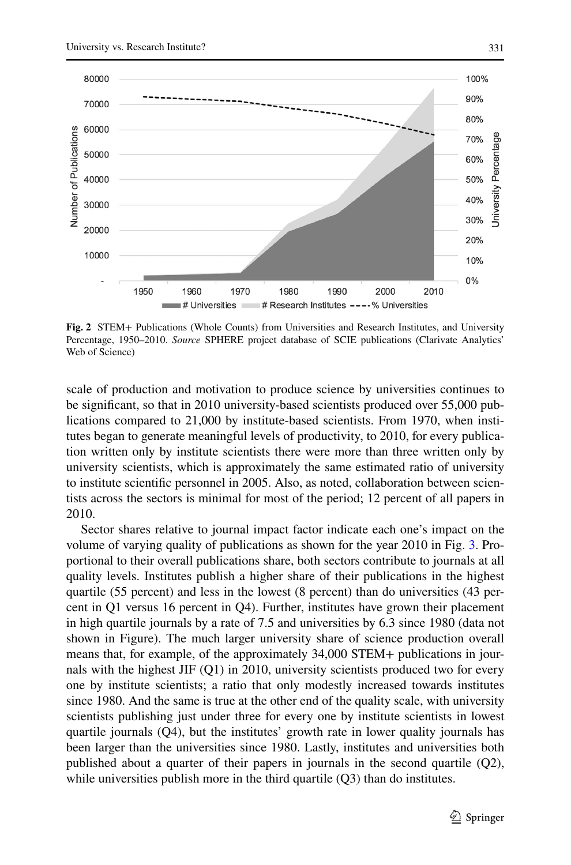

<span id="page-12-0"></span>**Fig. 2** STEM+ Publications (Whole Counts) from Universities and Research Institutes, and University Percentage, 1950–2010. *Source* SPHERE project database of SCIE publications (Clarivate Analytics' Web of Science)

scale of production and motivation to produce science by universities continues to be signifcant, so that in 2010 university-based scientists produced over 55,000 publications compared to 21,000 by institute-based scientists. From 1970, when institutes began to generate meaningful levels of productivity, to 2010, for every publication written only by institute scientists there were more than three written only by university scientists, which is approximately the same estimated ratio of university to institute scientifc personnel in 2005. Also, as noted, collaboration between scientists across the sectors is minimal for most of the period; 12 percent of all papers in 2010.

Sector shares relative to journal impact factor indicate each one's impact on the volume of varying quality of publications as shown for the year 2010 in Fig. [3.](#page-13-0) Proportional to their overall publications share, both sectors contribute to journals at all quality levels. Institutes publish a higher share of their publications in the highest quartile (55 percent) and less in the lowest (8 percent) than do universities (43 percent in Q1 versus 16 percent in Q4). Further, institutes have grown their placement in high quartile journals by a rate of 7.5 and universities by 6.3 since 1980 (data not shown in Figure). The much larger university share of science production overall means that, for example, of the approximately 34,000 STEM+ publications in journals with the highest JIF (Q1) in 2010, university scientists produced two for every one by institute scientists; a ratio that only modestly increased towards institutes since 1980. And the same is true at the other end of the quality scale, with university scientists publishing just under three for every one by institute scientists in lowest quartile journals (Q4), but the institutes' growth rate in lower quality journals has been larger than the universities since 1980. Lastly, institutes and universities both published about a quarter of their papers in journals in the second quartile (Q2), while universities publish more in the third quartile (Q3) than do institutes.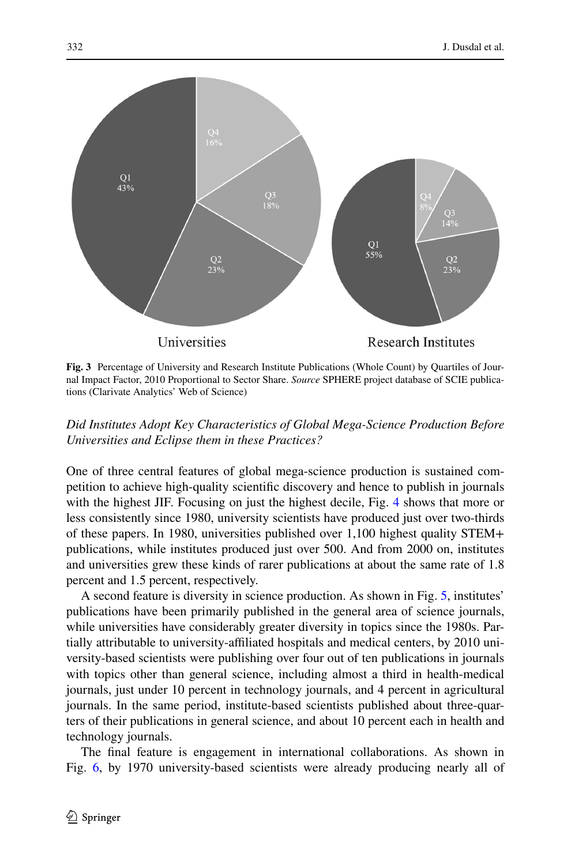

<span id="page-13-0"></span>**Fig. 3** Percentage of University and Research Institute Publications (Whole Count) by Quartiles of Journal Impact Factor, 2010 Proportional to Sector Share. *Source* SPHERE project database of SCIE publications (Clarivate Analytics' Web of Science)

# *Did Institutes Adopt Key Characteristics of Global Mega-Science Production Before Universities and Eclipse them in these Practices?*

One of three central features of global mega-science production is sustained competition to achieve high-quality scientifc discovery and hence to publish in journals with the highest JIF. Focusing on just the highest decile, Fig. [4](#page-14-0) shows that more or less consistently since 1980, university scientists have produced just over two-thirds of these papers. In 1980, universities published over 1,100 highest quality STEM+ publications, while institutes produced just over 500. And from 2000 on, institutes and universities grew these kinds of rarer publications at about the same rate of 1.8 percent and 1.5 percent, respectively.

A second feature is diversity in science production. As shown in Fig. [5](#page-15-0), institutes' publications have been primarily published in the general area of science journals, while universities have considerably greater diversity in topics since the 1980s. Partially attributable to university-afliated hospitals and medical centers, by 2010 university-based scientists were publishing over four out of ten publications in journals with topics other than general science, including almost a third in health-medical journals, just under 10 percent in technology journals, and 4 percent in agricultural journals. In the same period, institute-based scientists published about three-quarters of their publications in general science, and about 10 percent each in health and technology journals.

The fnal feature is engagement in international collaborations. As shown in Fig. [6](#page-16-0), by 1970 university-based scientists were already producing nearly all of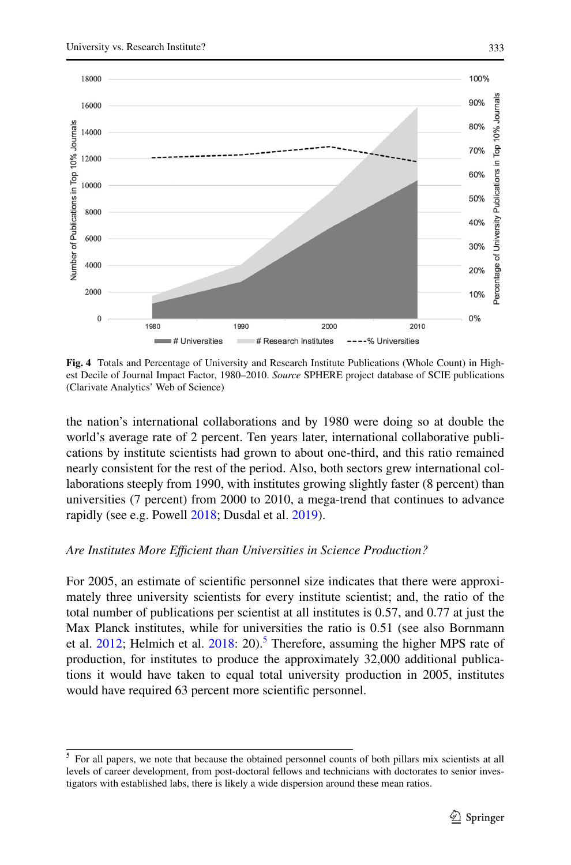

<span id="page-14-0"></span>**Fig. 4** Totals and Percentage of University and Research Institute Publications (Whole Count) in Highest Decile of Journal Impact Factor, 1980–2010. *Source* SPHERE project database of SCIE publications (Clarivate Analytics' Web of Science)

the nation's international collaborations and by 1980 were doing so at double the world's average rate of 2 percent. Ten years later, international collaborative publications by institute scientists had grown to about one-third, and this ratio remained nearly consistent for the rest of the period. Also, both sectors grew international collaborations steeply from 1990, with institutes growing slightly faster (8 percent) than universities (7 percent) from 2000 to 2010, a mega-trend that continues to advance rapidly (see e.g. Powell [2018;](#page-22-21) Dusdal et al. [2019\)](#page-21-19).

#### *Are Institutes More Efcient than Universities in Science Production?*

For 2005, an estimate of scientifc personnel size indicates that there were approximately three university scientists for every institute scientist; and, the ratio of the total number of publications per scientist at all institutes is 0.57, and 0.77 at just the Max Planck institutes, while for universities the ratio is 0.51 (see also Bornmann et al.  $2012$ ; Helmich et al.  $2018: 20$  $2018: 20$ ).<sup>5</sup> Therefore, assuming the higher MPS rate of production, for institutes to produce the approximately 32,000 additional publications it would have taken to equal total university production in 2005, institutes would have required 63 percent more scientifc personnel.

<span id="page-14-1"></span><sup>5</sup> For all papers, we note that because the obtained personnel counts of both pillars mix scientists at all levels of career development, from post-doctoral fellows and technicians with doctorates to senior investigators with established labs, there is likely a wide dispersion around these mean ratios.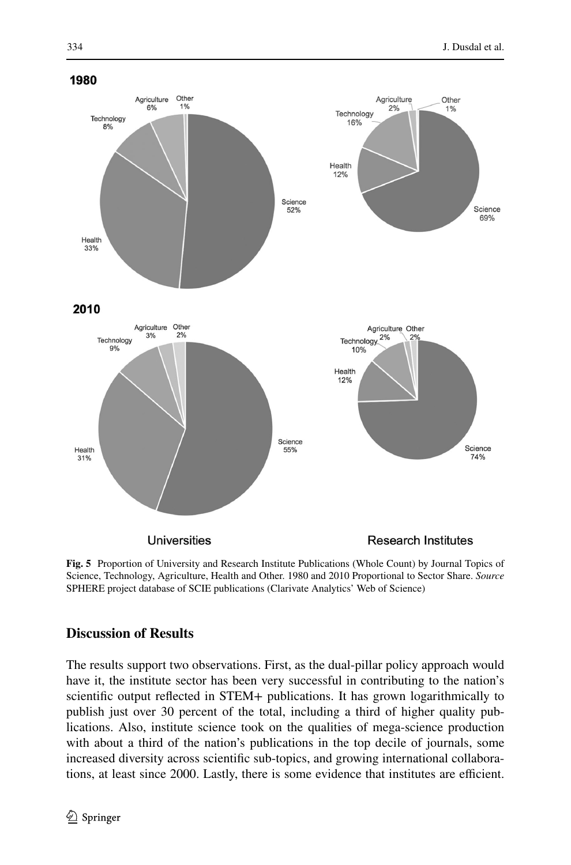

<span id="page-15-0"></span>**Fig. 5** Proportion of University and Research Institute Publications (Whole Count) by Journal Topics of Science, Technology, Agriculture, Health and Other. 1980 and 2010 Proportional to Sector Share. *Source* SPHERE project database of SCIE publications (Clarivate Analytics' Web of Science)

# **Discussion of Results**

The results support two observations. First, as the dual-pillar policy approach would have it, the institute sector has been very successful in contributing to the nation's scientifc output refected in STEM+ publications. It has grown logarithmically to publish just over 30 percent of the total, including a third of higher quality publications. Also, institute science took on the qualities of mega-science production with about a third of the nation's publications in the top decile of journals, some increased diversity across scientifc sub-topics, and growing international collaborations, at least since 2000. Lastly, there is some evidence that institutes are efficient.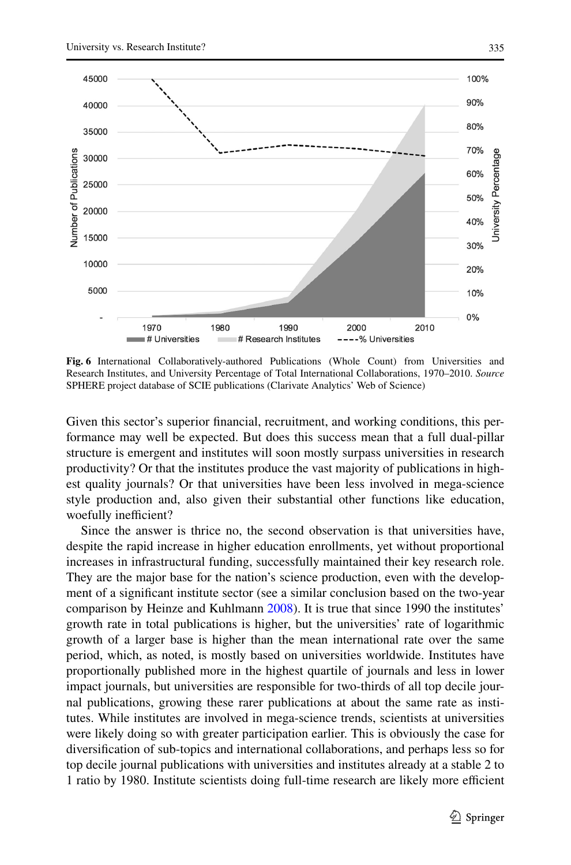

<span id="page-16-0"></span>**Fig. 6** International Collaboratively-authored Publications (Whole Count) from Universities and Research Institutes, and University Percentage of Total International Collaborations, 1970–2010. *Source* SPHERE project database of SCIE publications (Clarivate Analytics' Web of Science)

Given this sector's superior fnancial, recruitment, and working conditions, this performance may well be expected. But does this success mean that a full dual-pillar structure is emergent and institutes will soon mostly surpass universities in research productivity? Or that the institutes produce the vast majority of publications in highest quality journals? Or that universities have been less involved in mega-science style production and, also given their substantial other functions like education, woefully inefficient?

Since the answer is thrice no, the second observation is that universities have, despite the rapid increase in higher education enrollments, yet without proportional increases in infrastructural funding, successfully maintained their key research role. They are the major base for the nation's science production, even with the development of a signifcant institute sector (see a similar conclusion based on the two-year comparison by Heinze and Kuhlmann [2008\)](#page-21-9). It is true that since 1990 the institutes' growth rate in total publications is higher, but the universities' rate of logarithmic growth of a larger base is higher than the mean international rate over the same period, which, as noted, is mostly based on universities worldwide. Institutes have proportionally published more in the highest quartile of journals and less in lower impact journals, but universities are responsible for two-thirds of all top decile journal publications, growing these rarer publications at about the same rate as institutes. While institutes are involved in mega-science trends, scientists at universities were likely doing so with greater participation earlier. This is obviously the case for diversifcation of sub-topics and international collaborations, and perhaps less so for top decile journal publications with universities and institutes already at a stable 2 to 1 ratio by 1980. Institute scientists doing full-time research are likely more efficient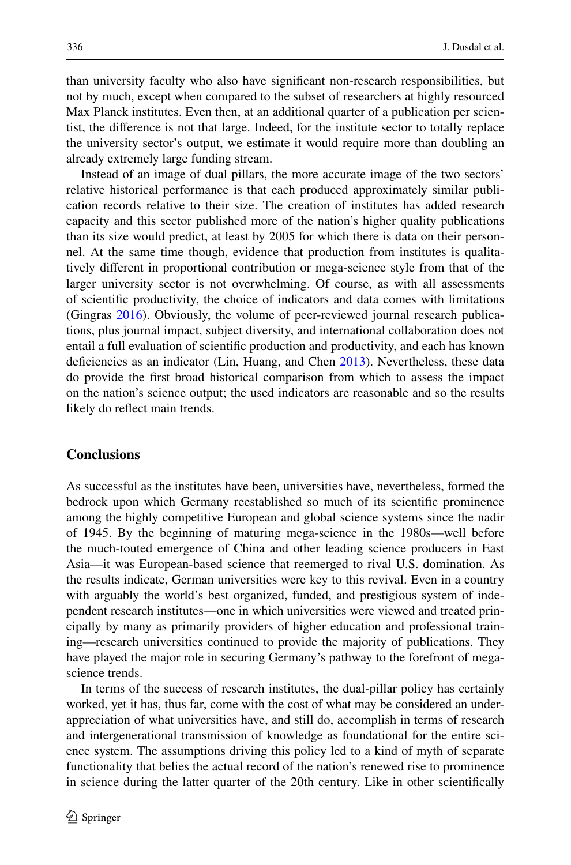than university faculty who also have signifcant non-research responsibilities, but not by much, except when compared to the subset of researchers at highly resourced Max Planck institutes. Even then, at an additional quarter of a publication per scientist, the diference is not that large. Indeed, for the institute sector to totally replace the university sector's output, we estimate it would require more than doubling an already extremely large funding stream.

Instead of an image of dual pillars, the more accurate image of the two sectors' relative historical performance is that each produced approximately similar publication records relative to their size. The creation of institutes has added research capacity and this sector published more of the nation's higher quality publications than its size would predict, at least by 2005 for which there is data on their personnel. At the same time though, evidence that production from institutes is qualitatively diferent in proportional contribution or mega-science style from that of the larger university sector is not overwhelming. Of course, as with all assessments of scientifc productivity, the choice of indicators and data comes with limitations (Gingras [2016\)](#page-21-21). Obviously, the volume of peer-reviewed journal research publications, plus journal impact, subject diversity, and international collaboration does not entail a full evaluation of scientifc production and productivity, and each has known defciencies as an indicator (Lin, Huang, and Chen [2013\)](#page-22-19). Nevertheless, these data do provide the frst broad historical comparison from which to assess the impact on the nation's science output; the used indicators are reasonable and so the results likely do refect main trends.

#### **Conclusions**

As successful as the institutes have been, universities have, nevertheless, formed the bedrock upon which Germany reestablished so much of its scientifc prominence among the highly competitive European and global science systems since the nadir of 1945. By the beginning of maturing mega-science in the 1980s—well before the much-touted emergence of China and other leading science producers in East Asia—it was European-based science that reemerged to rival U.S. domination. As the results indicate, German universities were key to this revival. Even in a country with arguably the world's best organized, funded, and prestigious system of independent research institutes—one in which universities were viewed and treated principally by many as primarily providers of higher education and professional training—research universities continued to provide the majority of publications. They have played the major role in securing Germany's pathway to the forefront of megascience trends.

In terms of the success of research institutes, the dual-pillar policy has certainly worked, yet it has, thus far, come with the cost of what may be considered an underappreciation of what universities have, and still do, accomplish in terms of research and intergenerational transmission of knowledge as foundational for the entire science system. The assumptions driving this policy led to a kind of myth of separate functionality that belies the actual record of the nation's renewed rise to prominence in science during the latter quarter of the 20th century. Like in other scientifcally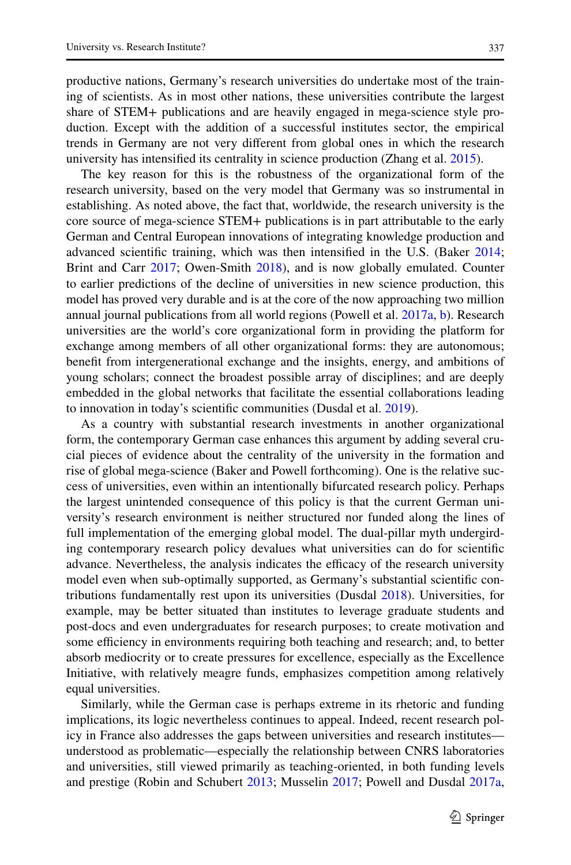productive nations, Germany's research universities do undertake most of the training of scientists. As in most other nations, these universities contribute the largest share of STEM+ publications and are heavily engaged in mega-science style production. Except with the addition of a successful institutes sector, the empirical trends in Germany are not very diferent from global ones in which the research university has intensifed its centrality in science production (Zhang et al. [2015\)](#page-23-2).

The key reason for this is the robustness of the organizational form of the research university, based on the very model that Germany was so instrumental in establishing. As noted above, the fact that, worldwide, the research university is the core source of mega-science STEM+ publications is in part attributable to the early German and Central European innovations of integrating knowledge production and advanced scientifc training, which was then intensifed in the U.S. (Baker [2014;](#page-20-3) Brint and Carr [2017;](#page-21-22) Owen-Smith [2018](#page-22-9)), and is now globally emulated. Counter to earlier predictions of the decline of universities in new science production, this model has proved very durable and is at the core of the now approaching two million annual journal publications from all world regions (Powell et al. [2017a,](#page-22-5) [b\)](#page-22-6). Research universities are the world's core organizational form in providing the platform for exchange among members of all other organizational forms: they are autonomous; beneft from intergenerational exchange and the insights, energy, and ambitions of young scholars; connect the broadest possible array of disciplines; and are deeply embedded in the global networks that facilitate the essential collaborations leading to innovation in today's scientifc communities (Dusdal et al. [2019](#page-21-19)).

As a country with substantial research investments in another organizational form, the contemporary German case enhances this argument by adding several crucial pieces of evidence about the centrality of the university in the formation and rise of global mega-science (Baker and Powell forthcoming). One is the relative success of universities, even within an intentionally bifurcated research policy. Perhaps the largest unintended consequence of this policy is that the current German university's research environment is neither structured nor funded along the lines of full implementation of the emerging global model. The dual-pillar myth undergirding contemporary research policy devalues what universities can do for scientifc advance. Nevertheless, the analysis indicates the efficacy of the research university model even when sub-optimally supported, as Germany's substantial scientifc contributions fundamentally rest upon its universities (Dusdal [2018\)](#page-21-8). Universities, for example, may be better situated than institutes to leverage graduate students and post-docs and even undergraduates for research purposes; to create motivation and some efficiency in environments requiring both teaching and research; and, to better absorb mediocrity or to create pressures for excellence, especially as the Excellence Initiative, with relatively meagre funds, emphasizes competition among relatively equal universities.

Similarly, while the German case is perhaps extreme in its rhetoric and funding implications, its logic nevertheless continues to appeal. Indeed, recent research policy in France also addresses the gaps between universities and research institutes understood as problematic—especially the relationship between CNRS laboratories and universities, still viewed primarily as teaching-oriented, in both funding levels and prestige (Robin and Schubert [2013](#page-22-2); Musselin [2017](#page-22-22); Powell and Dusdal [2017a,](#page-22-4)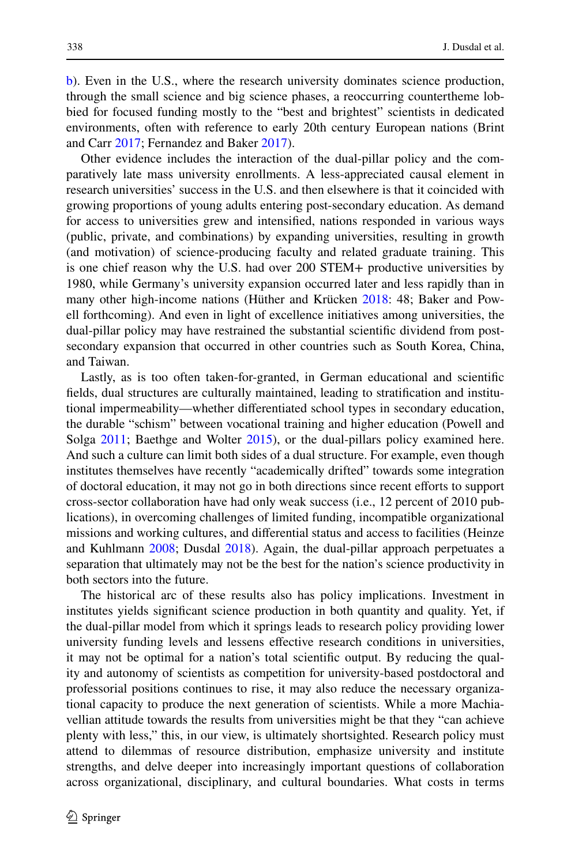[b](#page-22-20)). Even in the U.S., where the research university dominates science production, through the small science and big science phases, a reoccurring countertheme lobbied for focused funding mostly to the "best and brightest" scientists in dedicated environments, often with reference to early 20th century European nations (Brint and Carr [2017](#page-21-22); Fernandez and Baker [2017](#page-21-10)).

Other evidence includes the interaction of the dual-pillar policy and the comparatively late mass university enrollments. A less-appreciated causal element in research universities' success in the U.S. and then elsewhere is that it coincided with growing proportions of young adults entering post-secondary education. As demand for access to universities grew and intensifed, nations responded in various ways (public, private, and combinations) by expanding universities, resulting in growth (and motivation) of science-producing faculty and related graduate training. This is one chief reason why the U.S. had over 200 STEM+ productive universities by 1980, while Germany's university expansion occurred later and less rapidly than in many other high-income nations (Hüther and Krücken [2018](#page-22-15): 48; Baker and Powell forthcoming). And even in light of excellence initiatives among universities, the dual-pillar policy may have restrained the substantial scientifc dividend from postsecondary expansion that occurred in other countries such as South Korea, China, and Taiwan.

Lastly, as is too often taken-for-granted, in German educational and scientifc felds, dual structures are culturally maintained, leading to stratifcation and institutional impermeability—whether diferentiated school types in secondary education, the durable "schism" between vocational training and higher education (Powell and Solga [2011;](#page-22-23) Baethge and Wolter [2015\)](#page-20-4), or the dual-pillars policy examined here. And such a culture can limit both sides of a dual structure. For example, even though institutes themselves have recently "academically drifted" towards some integration of doctoral education, it may not go in both directions since recent eforts to support cross-sector collaboration have had only weak success (i.e., 12 percent of 2010 publications), in overcoming challenges of limited funding, incompatible organizational missions and working cultures, and diferential status and access to facilities (Heinze and Kuhlmann [2008;](#page-21-9) Dusdal [2018](#page-21-8)). Again, the dual-pillar approach perpetuates a separation that ultimately may not be the best for the nation's science productivity in both sectors into the future.

The historical arc of these results also has policy implications. Investment in institutes yields signifcant science production in both quantity and quality. Yet, if the dual-pillar model from which it springs leads to research policy providing lower university funding levels and lessens efective research conditions in universities, it may not be optimal for a nation's total scientifc output. By reducing the quality and autonomy of scientists as competition for university-based postdoctoral and professorial positions continues to rise, it may also reduce the necessary organizational capacity to produce the next generation of scientists. While a more Machiavellian attitude towards the results from universities might be that they "can achieve plenty with less," this, in our view, is ultimately shortsighted. Research policy must attend to dilemmas of resource distribution, emphasize university and institute strengths, and delve deeper into increasingly important questions of collaboration across organizational, disciplinary, and cultural boundaries. What costs in terms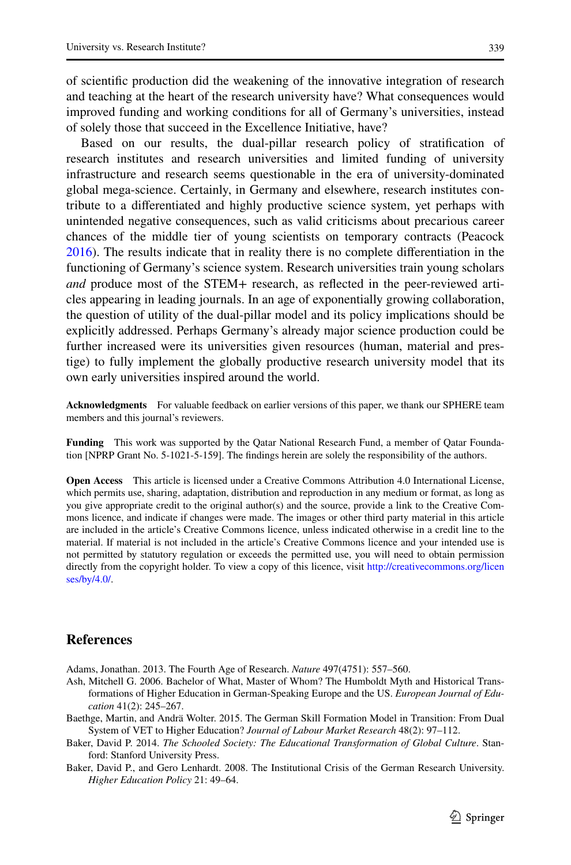339

of scientifc production did the weakening of the innovative integration of research and teaching at the heart of the research university have? What consequences would improved funding and working conditions for all of Germany's universities, instead of solely those that succeed in the Excellence Initiative, have?

Based on our results, the dual-pillar research policy of stratifcation of research institutes and research universities and limited funding of university infrastructure and research seems questionable in the era of university-dominated global mega-science. Certainly, in Germany and elsewhere, research institutes contribute to a diferentiated and highly productive science system, yet perhaps with unintended negative consequences, such as valid criticisms about precarious career chances of the middle tier of young scientists on temporary contracts (Peacock [2016](#page-22-18)). The results indicate that in reality there is no complete diferentiation in the functioning of Germany's science system. Research universities train young scholars *and* produce most of the STEM+ research, as refected in the peer-reviewed articles appearing in leading journals. In an age of exponentially growing collaboration, the question of utility of the dual-pillar model and its policy implications should be explicitly addressed. Perhaps Germany's already major science production could be further increased were its universities given resources (human, material and prestige) to fully implement the globally productive research university model that its own early universities inspired around the world.

**Acknowledgments** For valuable feedback on earlier versions of this paper, we thank our SPHERE team members and this journal's reviewers.

**Funding** This work was supported by the Qatar National Research Fund, a member of Qatar Foundation [NPRP Grant No. 5-1021-5-159]. The fndings herein are solely the responsibility of the authors.

**Open Access** This article is licensed under a Creative Commons Attribution 4.0 International License, which permits use, sharing, adaptation, distribution and reproduction in any medium or format, as long as you give appropriate credit to the original author(s) and the source, provide a link to the Creative Commons licence, and indicate if changes were made. The images or other third party material in this article are included in the article's Creative Commons licence, unless indicated otherwise in a credit line to the material. If material is not included in the article's Creative Commons licence and your intended use is not permitted by statutory regulation or exceeds the permitted use, you will need to obtain permission directly from the copyright holder. To view a copy of this licence, visit [http://creativecommons.org/licen](http://creativecommons.org/licenses/by/4.0/) [ses/by/4.0/](http://creativecommons.org/licenses/by/4.0/).

# **References**

<span id="page-20-2"></span>Adams, Jonathan. 2013. The Fourth Age of Research. *Nature* 497(4751): 557–560.

- <span id="page-20-0"></span>Ash, Mitchell G. 2006. Bachelor of What, Master of Whom? The Humboldt Myth and Historical Transformations of Higher Education in German-Speaking Europe and the US. *European Journal of Education* 41(2): 245–267.
- <span id="page-20-4"></span>Baethge, Martin, and Andrä Wolter. 2015. The German Skill Formation Model in Transition: From Dual System of VET to Higher Education? *Journal of Labour Market Research* 48(2): 97–112.
- <span id="page-20-3"></span>Baker, David P. 2014. *The Schooled Society: The Educational Transformation of Global Culture*. Stanford: Stanford University Press.
- <span id="page-20-1"></span>Baker, David P., and Gero Lenhardt. 2008. The Institutional Crisis of the German Research University. *Higher Education Policy* 21: 49–64.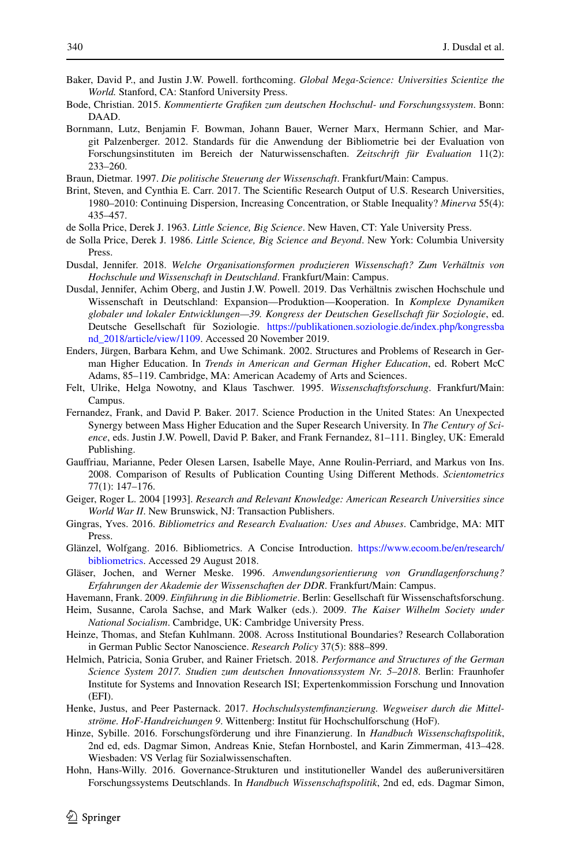- Baker, David P., and Justin J.W. Powell. forthcoming. *Global Mega-Science: Universities Scientize the World.* Stanford, CA: Stanford University Press.
- <span id="page-21-15"></span>Bode, Christian. 2015. *Kommentierte Grafken zum deutschen Hochschul- und Forschungssystem*. Bonn: DAAD.
- <span id="page-21-20"></span>Bornmann, Lutz, Benjamin F. Bowman, Johann Bauer, Werner Marx, Hermann Schier, and Margit Palzenberger. 2012. Standards für die Anwendung der Bibliometrie bei der Evaluation von Forschungsinstituten im Bereich der Naturwissenschaften. *Zeitschrift für Evaluation* 11(2): 233–260.

<span id="page-21-14"></span>Braun, Dietmar. 1997. *Die politische Steuerung der Wissenschaft*. Frankfurt/Main: Campus.

<span id="page-21-22"></span>Brint, Steven, and Cynthia E. Carr. 2017. The Scientifc Research Output of U.S. Research Universities, 1980–2010: Continuing Dispersion, Increasing Concentration, or Stable Inequality? *Minerva* 55(4): 435–457.

<span id="page-21-1"></span>de Solla Price, Derek J. 1963. *Little Science, Big Science*. New Haven, CT: Yale University Press.

- <span id="page-21-2"></span>de Solla Price, Derek J. 1986. *Little Science, Big Science and Beyond*. New York: Columbia University Press.
- <span id="page-21-8"></span>Dusdal, Jennifer. 2018. *Welche Organisationsformen produzieren Wissenschaft? Zum Verhältnis von Hochschule und Wissenschaft in Deutschland*. Frankfurt/Main: Campus.
- <span id="page-21-19"></span>Dusdal, Jennifer, Achim Oberg, and Justin J.W. Powell. 2019. Das Verhältnis zwischen Hochschule und Wissenschaft in Deutschland: Expansion—Produktion—Kooperation. In *Komplexe Dynamiken globaler und lokaler Entwicklungen—39. Kongress der Deutschen Gesellschaft für Soziologie*, ed. Deutsche Gesellschaft für Soziologie. [https://publikationen.soziologie.de/index.php/kongressba](https://publikationen.soziologie.de/index.php/kongressband_2018/article/view/1109) [nd\\_2018/article/view/1109](https://publikationen.soziologie.de/index.php/kongressband_2018/article/view/1109). Accessed 20 November 2019.
- <span id="page-21-6"></span>Enders, Jürgen, Barbara Kehm, and Uwe Schimank. 2002. Structures and Problems of Research in German Higher Education. In *Trends in American and German Higher Education*, ed. Robert McC Adams, 85–119. Cambridge, MA: American Academy of Arts and Sciences.
- <span id="page-21-3"></span>Felt, Ulrike, Helga Nowotny, and Klaus Taschwer. 1995. *Wissenschaftsforschung*. Frankfurt/Main: Campus.
- <span id="page-21-10"></span>Fernandez, Frank, and David P. Baker. 2017. Science Production in the United States: An Unexpected Synergy between Mass Higher Education and the Super Research University. In *The Century of Science*, eds. Justin J.W. Powell, David P. Baker, and Frank Fernandez, 81–111. Bingley, UK: Emerald Publishing.
- <span id="page-21-17"></span>Gaufriau, Marianne, Peder Olesen Larsen, Isabelle Maye, Anne Roulin-Perriard, and Markus von Ins. 2008. Comparison of Results of Publication Counting Using Diferent Methods. *Scientometrics* 77(1): 147–176.
- <span id="page-21-0"></span>Geiger, Roger L. 2004 [1993]. *Research and Relevant Knowledge: American Research Universities since World War II*. New Brunswick, NJ: Transaction Publishers.
- <span id="page-21-21"></span>Gingras, Yves. 2016. *Bibliometrics and Research Evaluation: Uses and Abuses*. Cambridge, MA: MIT Press.
- <span id="page-21-16"></span>Glänzel, Wolfgang. 2016. Bibliometrics. A Concise Introduction. [https://www.ecoom.be/en/research/](https://www.ecoom.be/en/research/bibliometrics) [bibliometrics](https://www.ecoom.be/en/research/bibliometrics). Accessed 29 August 2018.
- <span id="page-21-11"></span>Gläser, Jochen, and Werner Meske. 1996. *Anwendungsorientierung von Grundlagenforschung? Erfahrungen der Akademie der Wissenschaften der DDR*. Frankfurt/Main: Campus.
- <span id="page-21-18"></span>Havemann, Frank. 2009. *Einführung in die Bibliometrie*. Berlin: Gesellschaft für Wissenschaftsforschung.
- <span id="page-21-12"></span>Heim, Susanne, Carola Sachse, and Mark Walker (eds.). 2009. *The Kaiser Wilhelm Society under National Socialism*. Cambridge, UK: Cambridge University Press.
- <span id="page-21-9"></span>Heinze, Thomas, and Stefan Kuhlmann. 2008. Across Institutional Boundaries? Research Collaboration in German Public Sector Nanoscience. *Research Policy* 37(5): 888–899.
- <span id="page-21-13"></span>Helmich, Patricia, Sonia Gruber, and Rainer Frietsch. 2018. *Performance and Structures of the German Science System 2017. Studien zum deutschen Innovationssystem Nr. 5–2018*. Berlin: Fraunhofer Institute for Systems and Innovation Research ISI; Expertenkommission Forschung und Innovation (EFI).
- <span id="page-21-7"></span>Henke, Justus, and Peer Pasternack. 2017. *Hochschulsystemfnanzierung. Wegweiser durch die Mittelströme. HoF-Handreichungen 9*. Wittenberg: Institut für Hochschulforschung (HoF).
- <span id="page-21-4"></span>Hinze, Sybille. 2016. Forschungsförderung und ihre Finanzierung. In *Handbuch Wissenschaftspolitik*, 2nd ed, eds. Dagmar Simon, Andreas Knie, Stefan Hornbostel, and Karin Zimmerman, 413–428. Wiesbaden: VS Verlag für Sozialwissenschaften.
- <span id="page-21-5"></span>Hohn, Hans-Willy. 2016. Governance-Strukturen und institutioneller Wandel des außeruniversitären Forschungssystems Deutschlands. In *Handbuch Wissenschaftspolitik*, 2nd ed, eds. Dagmar Simon,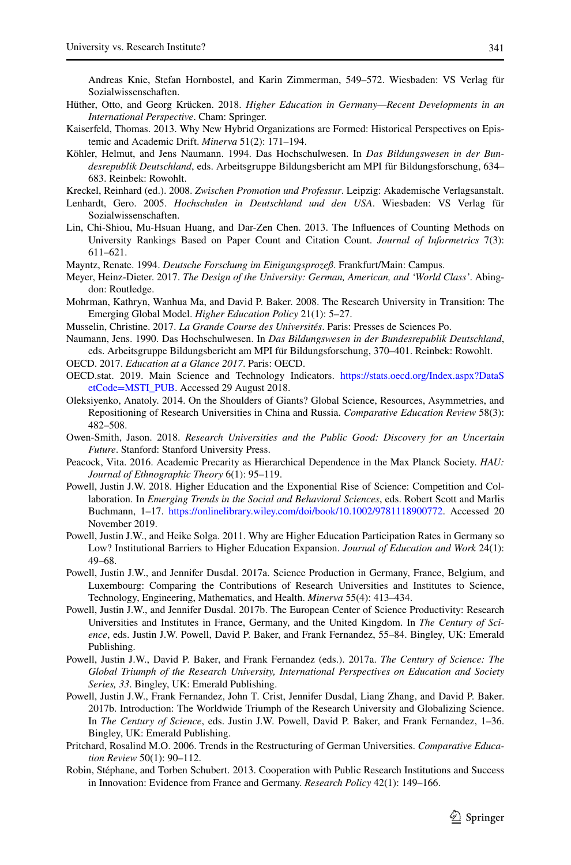Andreas Knie, Stefan Hornbostel, and Karin Zimmerman, 549–572. Wiesbaden: VS Verlag für Sozialwissenschaften.

- <span id="page-22-15"></span>Hüther, Otto, and Georg Krücken. 2018. *Higher Education in Germany—Recent Developments in an International Perspective*. Cham: Springer.
- <span id="page-22-17"></span>Kaiserfeld, Thomas. 2013. Why New Hybrid Organizations are Formed: Historical Perspectives on Epistemic and Academic Drift. *Minerva* 51(2): 171–194.
- <span id="page-22-11"></span>Köhler, Helmut, and Jens Naumann. 1994. Das Hochschulwesen. In *Das Bildungswesen in der Bundesrepublik Deutschland*, eds. Arbeitsgruppe Bildungsbericht am MPI für Bildungsforschung, 634– 683. Reinbek: Rowohlt.

<span id="page-22-1"></span>Kreckel, Reinhard (ed.). 2008. *Zwischen Promotion und Professur*. Leipzig: Akademische Verlagsanstalt.

- <span id="page-22-0"></span>Lenhardt, Gero. 2005. *Hochschulen in Deutschland und den USA*. Wiesbaden: VS Verlag für Sozialwissenschaften.
- <span id="page-22-19"></span>Lin, Chi-Shiou, Mu-Hsuan Huang, and Dar-Zen Chen. 2013. The Infuences of Counting Methods on University Rankings Based on Paper Count and Citation Count. *Journal of Informetrics* 7(3): 611–621.

<span id="page-22-12"></span>Mayntz, Renate. 1994. *Deutsche Forschung im Einigungsprozeß*. Frankfurt/Main: Campus.

- <span id="page-22-10"></span>Meyer, Heinz-Dieter. 2017. *The Design of the University: German, American, and 'World Class'*. Abingdon: Routledge.
- <span id="page-22-8"></span>Mohrman, Kathryn, Wanhua Ma, and David P. Baker. 2008. The Research University in Transition: The Emerging Global Model. *Higher Education Policy* 21(1): 5–27.
- <span id="page-22-22"></span>Musselin, Christine. 2017. *La Grande Course des Universités*. Paris: Presses de Sciences Po.
- <span id="page-22-13"></span>Naumann, Jens. 1990. Das Hochschulwesen. In *Das Bildungswesen in der Bundesrepublik Deutschland*, eds. Arbeitsgruppe Bildungsbericht am MPI für Bildungsforschung, 370–401. Reinbek: Rowohlt.
- <span id="page-22-16"></span>OECD. 2017. *Education at a Glance 2017*. Paris: OECD.
- <span id="page-22-7"></span>OECD.stat. 2019. Main Science and Technology Indicators. [https://stats.oecd.org/Index.aspx?DataS](https://stats.oecd.org/Index.aspx%3fDataSetCode%3dMSTI_PUB) [etCode=MSTI\\_PUB.](https://stats.oecd.org/Index.aspx%3fDataSetCode%3dMSTI_PUB) Accessed 29 August 2018.
- <span id="page-22-3"></span>Oleksiyenko, Anatoly. 2014. On the Shoulders of Giants? Global Science, Resources, Asymmetries, and Repositioning of Research Universities in China and Russia. *Comparative Education Review* 58(3): 482–508.
- <span id="page-22-9"></span>Owen-Smith, Jason. 2018. *Research Universities and the Public Good: Discovery for an Uncertain Future*. Stanford: Stanford University Press.
- <span id="page-22-18"></span>Peacock, Vita. 2016. Academic Precarity as Hierarchical Dependence in the Max Planck Society. *HAU: Journal of Ethnographic Theory* 6(1): 95–119.
- <span id="page-22-21"></span>Powell, Justin J.W. 2018. Higher Education and the Exponential Rise of Science: Competition and Collaboration. In *Emerging Trends in the Social and Behavioral Sciences*, eds. Robert Scott and Marlis Buchmann, 1–17. [https://onlinelibrary.wiley.com/doi/book/10.1002/9781118900772.](https://onlinelibrary.wiley.com/doi/book/10.1002/9781118900772) Accessed 20 November 2019.
- <span id="page-22-23"></span>Powell, Justin J.W., and Heike Solga. 2011. Why are Higher Education Participation Rates in Germany so Low? Institutional Barriers to Higher Education Expansion. *Journal of Education and Work* 24(1): 49–68.
- <span id="page-22-4"></span>Powell, Justin J.W., and Jennifer Dusdal. 2017a. Science Production in Germany, France, Belgium, and Luxembourg: Comparing the Contributions of Research Universities and Institutes to Science, Technology, Engineering, Mathematics, and Health. *Minerva* 55(4): 413–434.
- <span id="page-22-20"></span>Powell, Justin J.W., and Jennifer Dusdal. 2017b. The European Center of Science Productivity: Research Universities and Institutes in France, Germany, and the United Kingdom. In *The Century of Science*, eds. Justin J.W. Powell, David P. Baker, and Frank Fernandez, 55–84. Bingley, UK: Emerald Publishing.
- <span id="page-22-5"></span>Powell, Justin J.W., David P. Baker, and Frank Fernandez (eds.). 2017a. *The Century of Science: The Global Triumph of the Research University, International Perspectives on Education and Society Series, 33*. Bingley, UK: Emerald Publishing.
- <span id="page-22-6"></span>Powell, Justin J.W., Frank Fernandez, John T. Crist, Jennifer Dusdal, Liang Zhang, and David P. Baker. 2017b. Introduction: The Worldwide Triumph of the Research University and Globalizing Science. In *The Century of Science*, eds. Justin J.W. Powell, David P. Baker, and Frank Fernandez, 1–36. Bingley, UK: Emerald Publishing.
- <span id="page-22-14"></span>Pritchard, Rosalind M.O. 2006. Trends in the Restructuring of German Universities. *Comparative Education Review* 50(1): 90–112.
- <span id="page-22-2"></span>Robin, Stéphane, and Torben Schubert. 2013. Cooperation with Public Research Institutions and Success in Innovation: Evidence from France and Germany. *Research Policy* 42(1): 149–166.